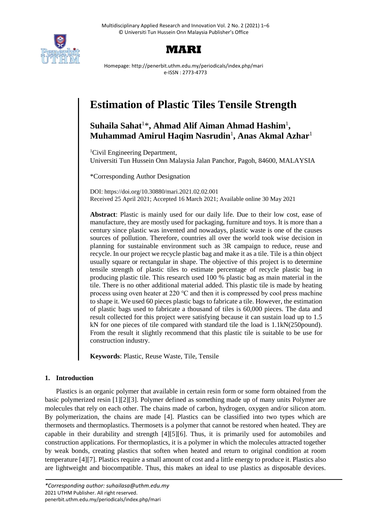

# **MARI**

Homepage: http://penerbit.uthm.edu.my/periodicals/index.php/mari e-ISSN : 2773-4773

# **Estimation of Plastic Tiles Tensile Strength**

# **Suhaila Sahat**<sup>1</sup>\* **, Ahmad Alif Aiman Ahmad Hashim**<sup>1</sup> **, Muhammad Amirul Haqim Nasrudin**<sup>1</sup> **, Anas Akmal Azhar**<sup>1</sup>

<sup>1</sup>Civil Engineering Department, Universiti Tun Hussein Onn Malaysia Jalan Panchor, Pagoh, 84600, MALAYSIA

\*Corresponding Author Designation

DOI: https://doi.org/10.30880/mari.2021.02.02.001 Received 25 April 2021; Accepted 16 March 2021; Available online 30 May 2021

**Abstract**: Plastic is mainly used for our daily life. Due to their low cost, ease of manufacture, they are mostly used for packaging, furniture and toys. It is more than a century since plastic was invented and nowadays, plastic waste is one of the causes sources of pollution. Therefore, countries all over the world took wise decision in planning for sustainable environment such as 3R campaign to reduce, reuse and recycle. In our project we recycle plastic bag and make it as a tile. Tile is a thin object usually square or rectangular in shape. The objective of this project is to determine tensile strength of plastic tiles to estimate percentage of recycle plastic bag in producing plastic tile. This research used 100 % plastic bag as main material in the tile. There is no other additional material added. This plastic tile is made by heating process using oven heater at 220 ℃ and then it is compressed by cool press machine to shape it. We used 60 pieces plastic bags to fabricate a tile. However, the estimation of plastic bags used to fabricate a thousand of tiles is 60,000 pieces. The data and result collected for this project were satisfying because it can sustain load up to 1.5 kN for one pieces of tile compared with standard tile the load is 1.1kN(250pound). From the result it slightly recommend that this plastic tile is suitable to be use for construction industry.

**Keywords**: Plastic, Reuse Waste, Tile, Tensile

# **1. Introduction**

Plastics is an organic polymer that available in certain resin form or some form obtained from the basic polymerized resin [1][2][3]. Polymer defined as something made up of many units Polymer are molecules that rely on each other. The chains made of carbon, hydrogen, oxygen and/or silicon atom. By polymerization, the chains are made [4]. Plastics can be classified into two types which are thermosets and thermoplastics. Thermosets is a polymer that cannot be restored when heated. They are capable in their durability and strength [4][5][6]. Thus, it is primarily used for automobiles and construction applications. For thermoplastics, it is a polymer in which the molecules attracted together by weak bonds, creating plastics that soften when heated and return to original condition at room temperature [4][7]. Plastics require a small amount of cost and a little energy to produce it. Plastics also are lightweight and biocompatible. Thus, this makes an ideal to use plastics as disposable devices.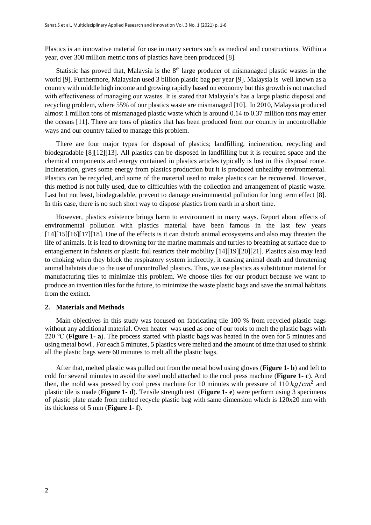Plastics is an innovative material for use in many sectors such as medical and constructions. Within a year, over 300 million metric tons of plastics have been produced [8].

Statistic has proved that, Malaysia is the  $8<sup>th</sup>$  large producer of mismanaged plastic wastes in the world [9]. Furthermore, Malaysian used 3 billion plastic bag per year [9]. Malaysia is well known as a country with middle high income and growing rapidly based on economy but this growth is not matched with effectiveness of managing our wastes. It is stated that Malaysia's has a large plastic disposal and recycling problem, where 55% of our plastics waste are mismanaged [10]. In 2010, Malaysia produced almost 1 million tons of mismanaged plastic waste which is around 0.14 to 0.37 million tons may enter the oceans [11]. There are tons of plastics that has been produced from our country in uncontrollable ways and our country failed to manage this problem.

There are four major types for disposal of plastics; landfilling, incineration, recycling and biodegradable [8][12][13]. All plastics can be disposed in landfilling but it is required space and the chemical components and energy contained in plastics articles typically is lost in this disposal route. Incineration, gives some energy from plastics production but it is produced unhealthy environmental. Plastics can be recycled, and some of the material used to make plastics can be recovered. However, this method is not fully used, due to difficulties with the collection and arrangement of plastic waste. Last but not least, biodegradable, prevent to damage environmental pollution for long term effect [8]. In this case, there is no such short way to dispose plastics from earth in a short time.

However, plastics existence brings harm to environment in many ways. Report about effects of environmental pollution with plastics material have been famous in the last few years [14][15][16][17][18]. One of the effects is it can disturb animal ecosystems and also may threaten the life of animals. It is lead to drowning for the marine mammals and turtles to breathing at surface due to entanglement in fishnets or plastic foil restricts their mobility [14][19][20][21]. Plastics also may lead to choking when they block the respiratory system indirectly, it causing animal death and threatening animal habitats due to the use of uncontrolled plastics. Thus, we use plastics as substitution material for manufacturing tiles to minimize this problem. We choose tiles for our product because we want to produce an invention tiles for the future, to minimize the waste plastic bags and save the animal habitats from the extinct.

#### **2. Materials and Methods**

Main objectives in this study was focused on fabricating tile 100 % from recycled plastic bags without any additional material. Oven heater was used as one of our tools to melt the plastic bags with 220 ℃ (**Figure 1- a**). The process started with plastic bags was heated in the oven for 5 minutes and using metal bowl . For each 5 minutes, 5 plastics were melted and the amount of time that used to shrink all the plastic bags were 60 minutes to melt all the plastic bags.

After that, melted plastic was pulled out from the metal bowl using gloves (**Figure 1- b**) and left to cold for several minutes to avoid the steel mold attached to the cool press machine (**Figure 1- c**). And then, the mold was pressed by cool press machine for 10 minutes with pressure of 110  $kg/cm^2$  and plastic tile is made (**Figure 1- d**). Tensile strength test (**Figure 1- e**) were perform using 3 specimens of plastic plate made from melted recycle plastic bag with same dimension which is 120x20 mm with its thickness of 5 mm (**Figure 1- f**).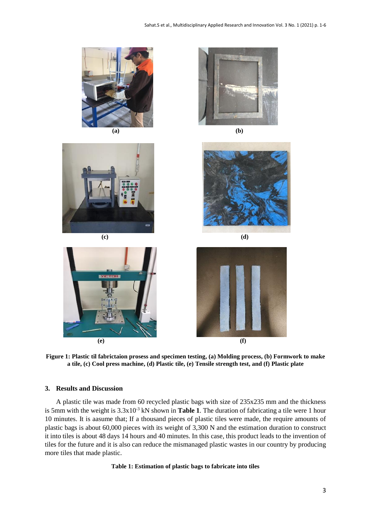















**Figure 1: Plastic til fabrictaion prosess and specimen testing, (a) Molding process, (b) Formwork to make a tile, (c) Cool press machine, (d) Plastic tile, (e) Tensile strength test, and (f) Plastic plate**

#### **3. Results and Discussion**

A plastic tile was made from 60 recycled plastic bags with size of 235x235 mm and the thickness is 5mm with the weight is  $3.3x10^{-3}$  kN shown in **Table 1**. The duration of fabricating a tile were 1 hour 10 minutes. It is aasume that; If a thousand pieces of plastic tiles were made, the require amounts of plastic bags is about 60,000 pieces with its weight of 3,300 N and the estimation duration to construct it into tiles is about 48 days 14 hours and 40 minutes. In this case, this product leads to the invention of tiles for the future and it is also can reduce the mismanaged plastic wastes in our country by producing more tiles that made plastic.

#### **Table 1: Estimation of plastic bags to fabricate into tiles**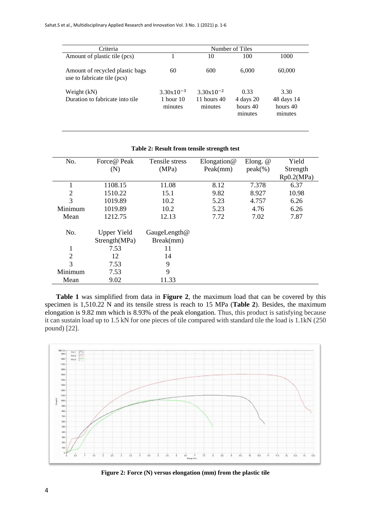| Criteria                                                       | Number of Tiles                          |                                            |                                          |                                           |  |
|----------------------------------------------------------------|------------------------------------------|--------------------------------------------|------------------------------------------|-------------------------------------------|--|
| Amount of plastic tile (pcs)                                   |                                          | 10                                         | 100                                      | 1000                                      |  |
| Amount of recycled plastic bags<br>use to fabricate tile (pcs) | 60                                       | 600                                        | 6,000                                    | 60,000                                    |  |
| Weight (kN)<br>Duration to fabricate into tile                 | $3.30x10^{-3}$<br>1 hour $10$<br>minutes | $3.30x10^{-2}$<br>11 hours $40$<br>minutes | 0.33<br>4 days 20<br>hours 40<br>minutes | 3.30<br>48 days 14<br>hours 40<br>minutes |  |

| No.            | Force@ Peak                         | Tensile stress            | Elongation $@$ | Elong. $@$ | Yield      |
|----------------|-------------------------------------|---------------------------|----------------|------------|------------|
|                | (N)                                 | (MPa)                     | Peak(mm)       | $peak(\%)$ | Strength   |
|                |                                     |                           |                |            | Rp0.2(MPa) |
| 1              | 1108.15                             | 11.08                     | 8.12           | 7.378      | 6.37       |
| 2              | 1510.22                             | 15.1                      | 9.82           | 8.927      | 10.98      |
| 3              | 1019.89                             | 10.2                      | 5.23           | 4.757      | 6.26       |
| Minimum        | 1019.89                             | 10.2                      | 5.23           | 4.76       | 6.26       |
| Mean           | 1212.75                             | 12.13                     | 7.72           | 7.02       | 7.87       |
| No.            | <b>Upper Yield</b><br>Strength(MPa) | GaugeLength@<br>Break(mm) |                |            |            |
| 1              | 7.53                                | 11                        |                |            |            |
| $\overline{2}$ | 12                                  | 14                        |                |            |            |
| 3              | 7.53                                | 9                         |                |            |            |
| Minimum        | 7.53                                | 9                         |                |            |            |
| Mean           | 9.02                                | 11.33                     |                |            |            |

#### **Table 2: Result from tensile strength test**

**Table 1** was simplified from data in **Figure 2**, the maximum load that can be covered by this specimen is 1,510.22 N and its tensile stress is reach to 15 MPa (**Table 2**). Besides, the maximum elongation is 9.82 mm which is 8.93% of the peak elongation. Thus, this product is satisfying because it can sustain load up to 1.5 kN for one pieces of tile compared with standard tile the load is 1.1kN (250 pound) [22].



**Figure 2: Force (N) versus elongation (mm) from the plastic tile**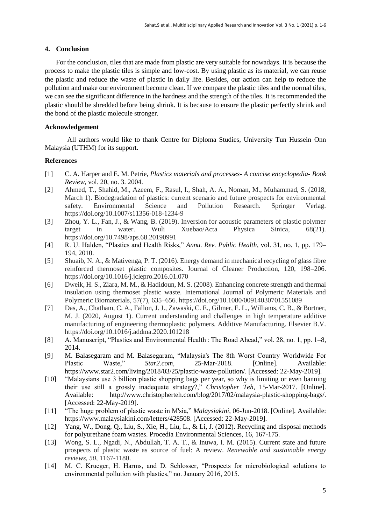### **4. Conclusion**

For the conclusion, tiles that are made from plastic are very suitable for nowadays. It is because the process to make the plastic tiles is simple and low-cost. By using plastic as its material, we can reuse the plastic and reduce the waste of plastic in daily life. Besides, our action can help to reduce the pollution and make our environment become clean. If we compare the plastic tiles and the normal tiles, we can see the significant difference in the hardness and the strength of the tiles. It is recommended the plastic should be shredded before being shrink. It is because to ensure the plastic perfectly shrink and the bond of the plastic molecule stronger.

## **Acknowledgement**

All authors would like to thank Centre for Diploma Studies, University Tun Hussein Onn Malaysia (UTHM) for its support.

## **References**

- [1] C. A. Harper and E. M. Petrie, *Plastics materials and processes- A concise encyclopedia- Book Review*, vol. 20, no. 3. 2004.
- [2] Ahmed, T., Shahid, M., Azeem, F., Rasul, I., Shah, A. A., Noman, M., Muhammad, S. (2018, March 1). Biodegradation of plastics: current scenario and future prospects for environmental safety. Environmental Science and Pollution Research. Springer Verlag. https://doi.org/10.1007/s11356-018-1234-9
- [3] Zhou, Y. L., Fan, J., & Wang, B. (2019). Inversion for acoustic parameters of plastic polymer target in water. Wuli Xuebao/Acta Physica Sinica, 68(21). https://doi.org/10.7498/aps.68.20190991
- [4] R. U. Halden, "Plastics and Health Risks," *Annu. Rev. Public Health*, vol. 31, no. 1, pp. 179– 194, 2010.
- [5] Shuaib, N. A., & Mativenga, P. T. (2016). Energy demand in mechanical recycling of glass fibre reinforced thermoset plastic composites. Journal of Cleaner Production, 120, 198–206. https://doi.org/10.1016/j.jclepro.2016.01.070
- [6] Dweik, H. S., Ziara, M. M., & Hadidoun, M. S. (2008). Enhancing concrete strength and thermal insulation using thermoset plastic waste. International Journal of Polymeric Materials and Polymeric Biomaterials, 57(7), 635–656. https://doi.org/10.1080/00914030701551089
- [7] Das, A., Chatham, C. A., Fallon, J. J., Zawaski, C. E., Gilmer, E. L., Williams, C. B., & Bortner, M. J. (2020, August 1). Current understanding and challenges in high temperature additive manufacturing of engineering thermoplastic polymers. Additive Manufacturing. Elsevier B.V. https://doi.org/10.1016/j.addma.2020.101218
- [8] A. Manuscript, "Plastics and Environmental Health : The Road Ahead," vol. 28, no. 1, pp. 1–8, 2014.
- [9] M. Balasegaram and M. Balasegaram, "Malaysia's The 8th Worst Country Worldwide For Plastic Waste," *Star2.com*, 25-Mar-2018. [Online]. Available: https://www.star2.com/living/2018/03/25/plastic-waste-pollution/. [Accessed: 22-May-2019].
- [10] "Malaysians use 3 billion plastic shopping bags per year, so why is limiting or even banning their use still a grossly inadequate strategy?," *Christopher Teh*, 15-Mar-2017. [Online]. Available: http://www.christopherteh.com/blog/2017/02/malaysia-plastic-shopping-bags/. [Accessed: 22-May-2019].
- [11] "The huge problem of plastic waste in M'sia," *Malaysiakini*, 06-Jun-2018. [Online]. Available: https://www.malaysiakini.com/letters/428508. [Accessed: 22-May-2019].
- [12] Yang, W., Dong, Q., Liu, S., Xie, H., Liu, L., & Li, J. (2012). Recycling and disposal methods for polyurethane foam wastes. Procedia Environmental Sciences, 16, 167-175.
- [13] Wong, S. L., Ngadi, N., Abdullah, T. A. T., & Inuwa, I. M. (2015). Current state and future prospects of plastic waste as source of fuel: A review. *Renewable and sustainable energy reviews*, *50*, 1167-1180.
- [14] M. C. Krueger, H. Harms, and D. Schlosser, "Prospects for microbiological solutions to environmental pollution with plastics," no. January 2016, 2015.